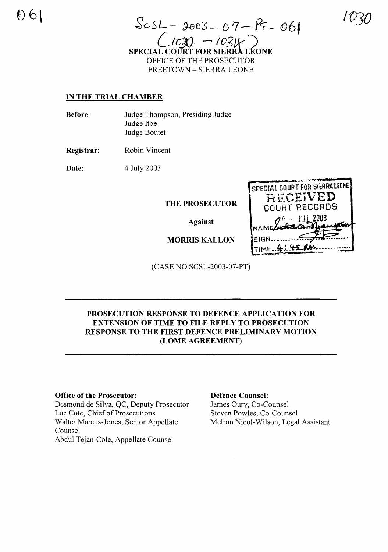$ScSL - 2003 - 07 - R - 06$  $102) - 1031$ SPECIAL COURT FOR SIERRA **LÉONE** OFFICE OF THE PROSECUTOR **FREETOWN - SIERRA LEONE** 

# **IN THE TRIAL CHAMBER**

| <b>Before:</b> | Judge Thompson, Presiding Judge |
|----------------|---------------------------------|
|                | Judge Itoe                      |
|                | Judge Boutet                    |

Robin Vincent Registrar:

4 July 2003 Date:

THE PROSECUTOR

**Against** 

**MORRIS KALLON** 

SPECIAL COURT FOR SIERRALEONE RECEIVED **COURT RECORDS**  $-$  JUL 2003 TIME.

(CASE NO SCSL-2003-07-PT)

# PROSECUTION RESPONSE TO DEFENCE APPLICATION FOR **EXTENSION OF TIME TO FILE REPLY TO PROSECUTION** RESPONSE TO THE FIRST DEFENCE PRELIMINARY MOTION (LOME AGREEMENT)

# **Office of the Prosecutor:**

Desmond de Silva, QC, Deputy Prosecutor Luc Cote, Chief of Prosecutions Walter Marcus-Jones, Senior Appellate Counsel Abdul Tejan-Cole, Appellate Counsel

#### **Defence Counsel:**

James Oury, Co-Counsel Steven Powles, Co-Counsel Melron Nicol-Wilson, Legal Assistant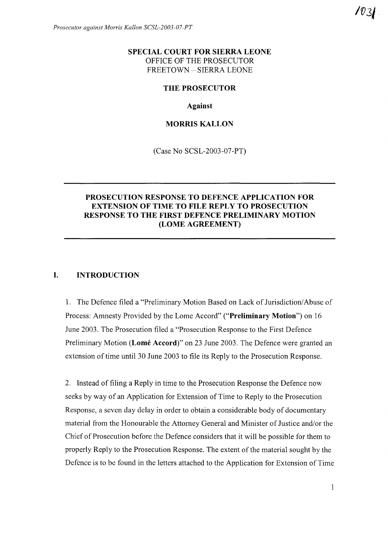# **SPECIAL COURT FOR SIERRA LEONE** OFFICE OF THE PROSECUTOR FREETOWN - SIERRA LEONE

#### **THE PROSECUTOR**

**Against**

#### **MORRIS KALLON**

(Case No SCSL-2003-07-PT)

## **PROSECUTION RESPONSE TO DEFENCE APPLICATION FOR EXTENSION OF TIME TO FILE REPLY TO PROSECUTION RESPONSE TO THE FIRST DEFENCE PRELIMINARY MOTION (LOME AGREEMENT)**

#### **I. INTRODUCTION**

1. The Defence filed a "Preliminary Motion Based on Lack of Jurisdiction/Abuse of Process: Amnesty Provided by the Lome Accord" **("Preliminary Motion")** on 16 June 2003. The Prosecution filed a "Prosecution Response to the First Defence Preliminary Motion **(Lome Accord)"** on 23 June 2003. The Defence were granted an extension of time until 30 June 2003 to file its Reply to the Prosecution Response.

2. Instead of filing a Reply in time to the Prosecution Response the Defence now seeks by way of an Application for Extension of Time to Reply to the Prosecution Response, a seven day delay in order to obtain a considerable body of documentary material from the Honourable the Attorney General and Minister of Justice and/or the Chief of Prosecution before the Defence considers that it will be possible for them to properly Reply to the Prosecution Response. The extent of the material sought by the Defence is to be found in the letters attached to the Application for Extension of Time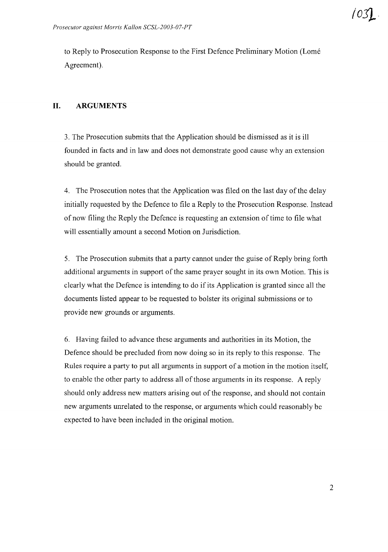to Reply to Prosecution Response to the First Defence Preliminary Motion (Lome Agreement).

# **II. ARGUMENTS**

3. The Prosecution submits that the Application should be dismissed as it is ill founded in facts and in law and does not demonstrate good cause why an extension should be granted.

4. The Prosecution notes that the Application was filed on the last day of the delay initially requested by the Defence to file a Reply to the Prosecution Response. Instead of now filing the Reply the Defence is requesting an extension of time to file what will essentially amount a second Motion on Jurisdiction.

5. The Prosecution submits that a party cannot under the guise of Reply bring forth additional arguments in support of the same prayer sought in its own Motion. This is clearly what the Defence is intending to do if its Application is granted since all the documents listed appear to be requested to bolster its original submissions or to provide new grounds or arguments.

6. Having failed to advance these arguments and authorities in its Motion, the Defence should be precluded from now doing so in its reply to this response. The Rules require a party to put all arguments in support of a motion in the motion itself, to enable the other party to address all ofthose arguments in its response. A reply should only address new matters arising out of the response, and should not contain new arguments unrelated to the response, or arguments which could reasonably be expected to have been included in the original motion.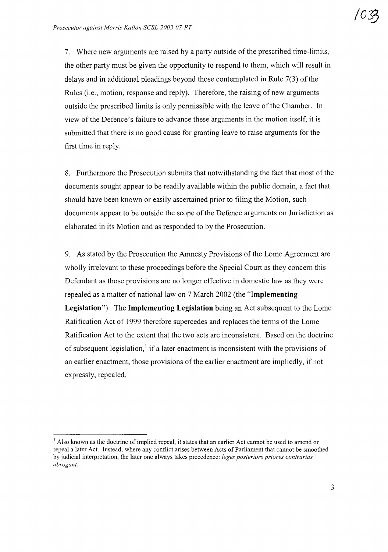7. Where new arguments are raised by a party outside ofthe prescribed time-limits, the other party must be given the opportunity to respond to them, which will result in delays and in additional pleadings beyond those contemplated in Rule  $7(3)$  of the Rules (i.e., motion, response and reply). Therefore, the raising of new arguments outside the prescribed limits is only permissible with the leave of the Chamber. In view ofthe Defence's failure to advance these arguments in the motion itself, it is submitted that there is no good cause for granting leave to raise arguments for the first time in reply.

8. Furthermore the Prosecution submits that notwithstanding the fact that most of the documents sought appear to be readily available within the public domain, a fact that should have been known or easily ascertained prior to filing the Motion, such documents appear to be outside the scope of the Defence arguments on Jurisdiction as elaborated in its Motion and as responded to by the Prosecution.

9. As stated by the Prosecution the Amnesty Provisions of the Lome Agreement are wholly irrelevant to these proceedings before the Special Court as they concern this Defendant as those provisions are no longer effective in domestic law as they were repealed as a matter of national law on 7 March 2002 (the **"Implementing Legislation").** The **Implementing Legislation** being an Act subsequent to the Lome Ratification Act of 1999 therefore supercedes and replaces the terms of the Lome Ratification Act to the extent that the two acts are inconsistent. Based on the doctrine of subsequent legislation, if a later enactment is inconsistent with the provisions of an earlier enactment, those provisions of the earlier enactment are impliedly, if not expressly, repealed.

 $<sup>1</sup>$  Also known as the doctrine of implied repeal, it states that an earlier Act cannot be used to amend or</sup> repeal a later Act. Instead, where any contlict arises between Acts of Parliament that cannot be smoothed by judicial interpretation, the later one always takes precedence: *leges posteriors priores contrarias abrogant.*